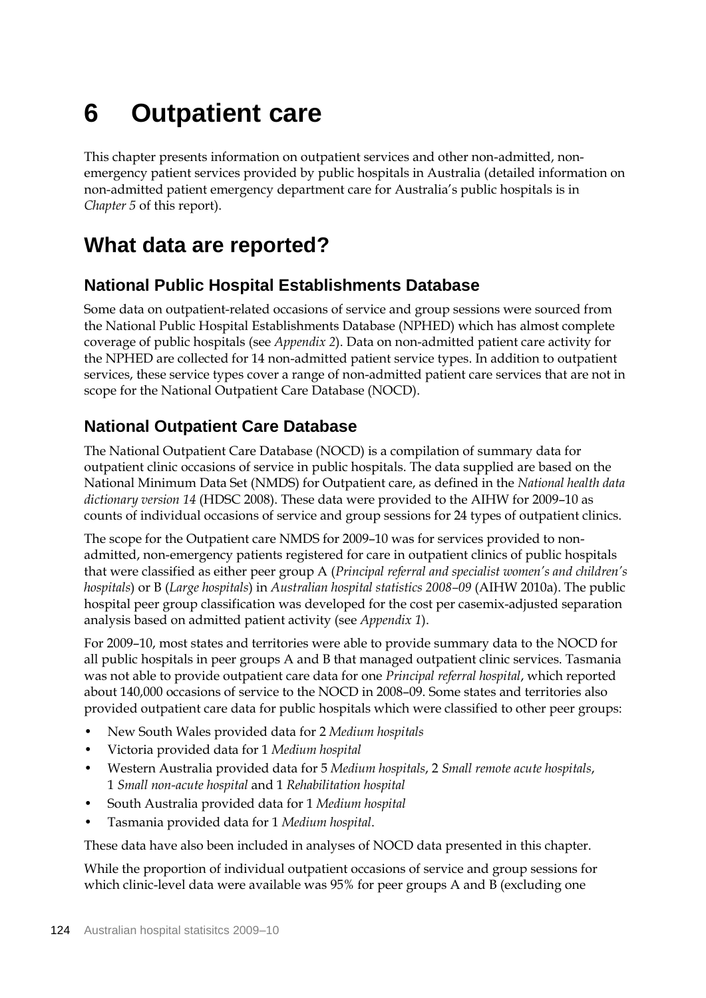# **6 Outpatient care**

This chapter presents information on outpatient services and other non-admitted, nonemergency patient services provided by public hospitals in Australia (detailed information on non-admitted patient emergency department care for Australia's public hospitals is in *Chapter 5* of this report).

# **What data are reported?**

## **National Public Hospital Establishments Database**

Some data on outpatient-related occasions of service and group sessions were sourced from the National Public Hospital Establishments Database (NPHED) which has almost complete coverage of public hospitals (see *Appendix 2*). Data on non-admitted patient care activity for the NPHED are collected for 14 non-admitted patient service types. In addition to outpatient services, these service types cover a range of non-admitted patient care services that are not in scope for the National Outpatient Care Database (NOCD).

## **National Outpatient Care Database**

The National Outpatient Care Database (NOCD) is a compilation of summary data for outpatient clinic occasions of service in public hospitals. The data supplied are based on the National Minimum Data Set (NMDS) for Outpatient care, as defined in the *National health data dictionary version 14* (HDSC 2008). These data were provided to the AIHW for 2009–10 as counts of individual occasions of service and group sessions for 24 types of outpatient clinics.

The scope for the Outpatient care NMDS for 2009–10 was for services provided to nonadmitted, non-emergency patients registered for care in outpatient clinics of public hospitals that were classified as either peer group A (*Principal referral and specialist women's and children's hospitals*) or B (*Large hospitals*) in *Australian hospital statistics 2008–09* (AIHW 2010a). The public hospital peer group classification was developed for the cost per casemix-adjusted separation analysis based on admitted patient activity (see *Appendix 1*).

For 2009–10, most states and territories were able to provide summary data to the NOCD for all public hospitals in peer groups A and B that managed outpatient clinic services. Tasmania was not able to provide outpatient care data for one *Principal referral hospital*, which reported about 140,000 occasions of service to the NOCD in 2008–09. Some states and territories also provided outpatient care data for public hospitals which were classified to other peer groups:

- New South Wales provided data for 2 *Medium hospitals*
- Victoria provided data for 1 *Medium hospital*
- Western Australia provided data for 5 *Medium hospitals*, 2 *Small remote acute hospitals*, 1 *Small non-acute hospital* and 1 *Rehabilitation hospital*
- South Australia provided data for 1 *Medium hospital*
- Tasmania provided data for 1 *Medium hospital*.

These data have also been included in analyses of NOCD data presented in this chapter.

While the proportion of individual outpatient occasions of service and group sessions for which clinic-level data were available was 95% for peer groups A and B (excluding one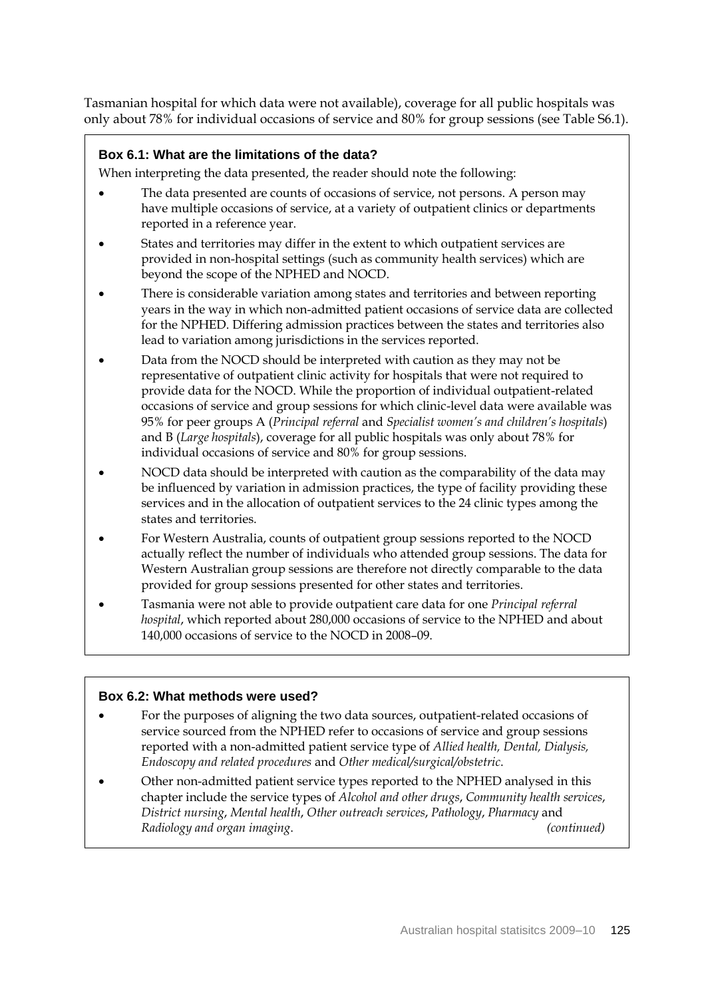Tasmanian hospital for which data were not available), coverage for all public hospitals was only about 78% for individual occasions of service and 80% for group sessions (see Table S6.1).

### **Box 6.1: What are the limitations of the data?**

When interpreting the data presented, the reader should note the following:

- The data presented are counts of occasions of service, not persons. A person may have multiple occasions of service, at a variety of outpatient clinics or departments reported in a reference year.
- States and territories may differ in the extent to which outpatient services are provided in non-hospital settings (such as community health services) which are beyond the scope of the NPHED and NOCD.
- There is considerable variation among states and territories and between reporting years in the way in which non-admitted patient occasions of service data are collected for the NPHED. Differing admission practices between the states and territories also lead to variation among jurisdictions in the services reported.
- Data from the NOCD should be interpreted with caution as they may not be representative of outpatient clinic activity for hospitals that were not required to provide data for the NOCD. While the proportion of individual outpatient-related occasions of service and group sessions for which clinic-level data were available was 95% for peer groups A (*Principal referral* and *Specialist women's and children's hospitals*) and B (*Large hospitals*), coverage for all public hospitals was only about 78% for individual occasions of service and 80% for group sessions.
- NOCD data should be interpreted with caution as the comparability of the data may be influenced by variation in admission practices, the type of facility providing these services and in the allocation of outpatient services to the 24 clinic types among the states and territories.
- For Western Australia, counts of outpatient group sessions reported to the NOCD actually reflect the number of individuals who attended group sessions. The data for Western Australian group sessions are therefore not directly comparable to the data provided for group sessions presented for other states and territories.
- Tasmania were not able to provide outpatient care data for one *Principal referral hospital*, which reported about 280,000 occasions of service to the NPHED and about 140,000 occasions of service to the NOCD in 2008–09.

#### **Box 6.2: What methods were used?**

- For the purposes of aligning the two data sources, outpatient-related occasions of service sourced from the NPHED refer to occasions of service and group sessions reported with a non-admitted patient service type of *Allied health, Dental, Dialysis, Endoscopy and related procedures* and *Other medical/surgical/obstetric*.
- Other non-admitted patient service types reported to the NPHED analysed in this chapter include the service types of *Alcohol and other drugs*, *Community health services*, *District nursing*, *Mental health*, *Other outreach services*, *Pathology*, *Pharmacy* and *Radiology and organ imaging*. *(continued)*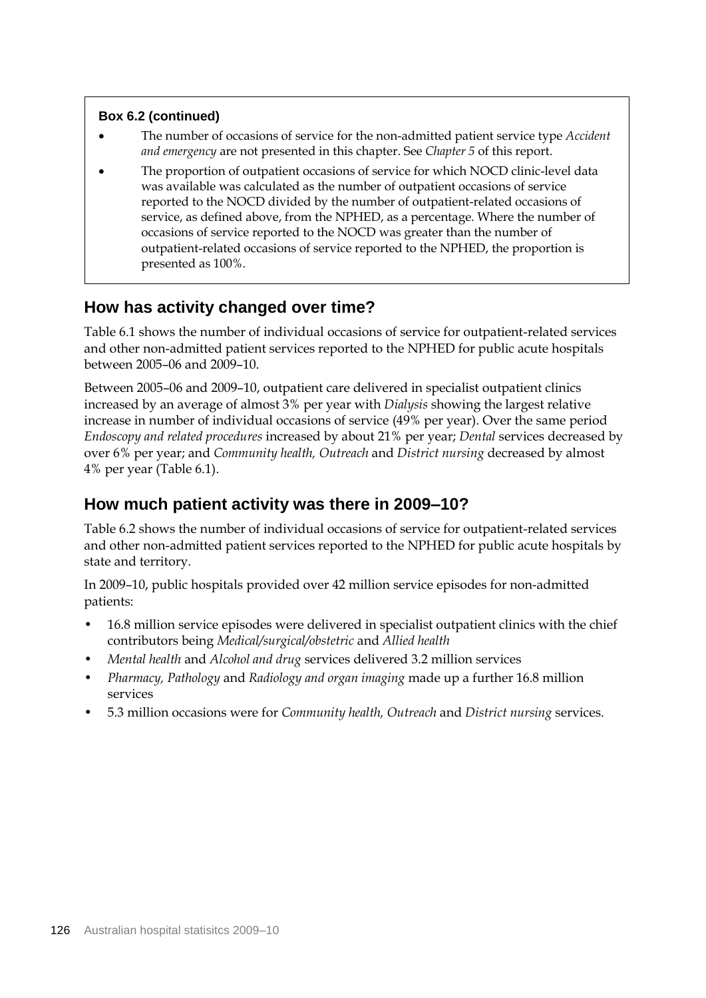### **Box 6.2 (continued)**

- The number of occasions of service for the non-admitted patient service type *Accident and emergency* are not presented in this chapter. See *Chapter 5* of this report.
- The proportion of outpatient occasions of service for which NOCD clinic-level data was available was calculated as the number of outpatient occasions of service reported to the NOCD divided by the number of outpatient-related occasions of service, as defined above, from the NPHED, as a percentage. Where the number of occasions of service reported to the NOCD was greater than the number of outpatient-related occasions of service reported to the NPHED, the proportion is presented as 100%.

## **How has activity changed over time?**

Table 6.1 shows the number of individual occasions of service for outpatient-related services and other non-admitted patient services reported to the NPHED for public acute hospitals between 2005–06 and 2009–10.

Between 2005–06 and 2009–10, outpatient care delivered in specialist outpatient clinics increased by an average of almost 3% per year with *Dialysis* showing the largest relative increase in number of individual occasions of service (49% per year). Over the same period *Endoscopy and related procedures* increased by about 21% per year; *Dental* services decreased by over 6% per year; and *Community health, Outreach* and *District nursing* decreased by almost 4% per year (Table 6.1).

## **How much patient activity was there in 2009–10?**

Table 6.2 shows the number of individual occasions of service for outpatient-related services and other non-admitted patient services reported to the NPHED for public acute hospitals by state and territory.

In 2009–10, public hospitals provided over 42 million service episodes for non-admitted patients:

- 16.8 million service episodes were delivered in specialist outpatient clinics with the chief contributors being *Medical/surgical/obstetric* and *Allied health*
- *Mental health* and *Alcohol and drug* services delivered 3.2 million services
- *Pharmacy, Pathology* and *Radiology and organ imaging* made up a further 16.8 million services
- 5.3 million occasions were for *Community health, Outreach* and *District nursing* services.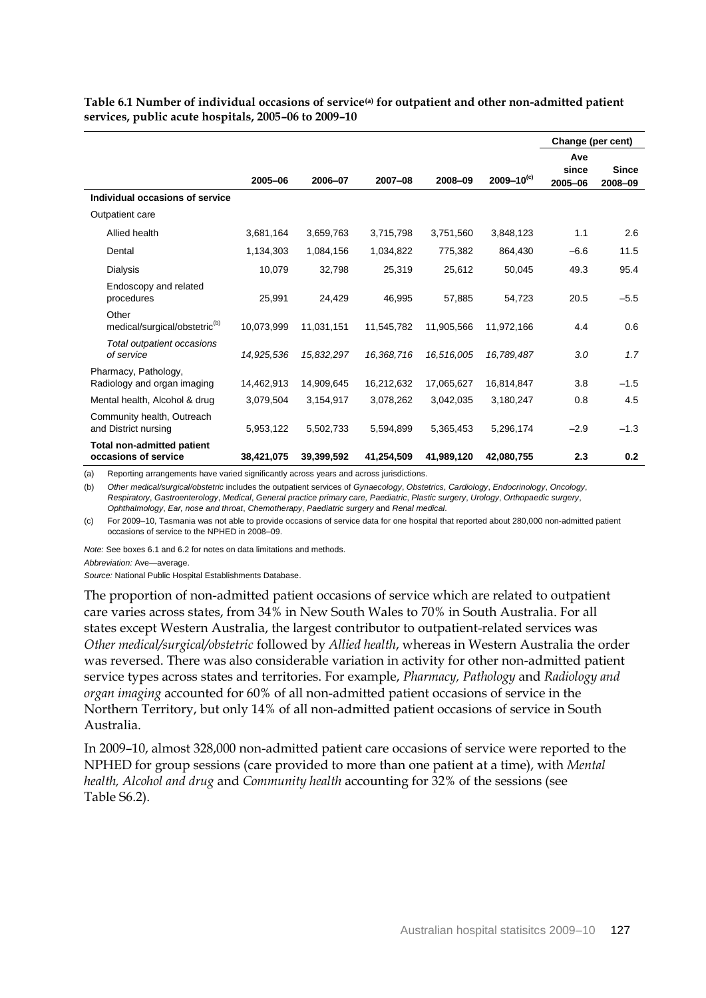|                                                           |            |            |            |            |                   | Change (per cent) |              |  |  |
|-----------------------------------------------------------|------------|------------|------------|------------|-------------------|-------------------|--------------|--|--|
|                                                           |            |            |            |            |                   | Ave               |              |  |  |
|                                                           | 2005-06    | 2006-07    | 2007-08    | 2008-09    | $2009 - 10^{(c)}$ | since             | <b>Since</b> |  |  |
|                                                           |            |            |            |            |                   | 2005-06           | 2008-09      |  |  |
| Individual occasions of service                           |            |            |            |            |                   |                   |              |  |  |
| Outpatient care                                           |            |            |            |            |                   |                   |              |  |  |
| Allied health                                             | 3,681,164  | 3,659,763  | 3,715,798  | 3,751,560  | 3,848,123         | 1.1               | 2.6          |  |  |
| Dental                                                    | 1,134,303  | 1,084,156  | 1,034,822  | 775,382    | 864,430           | $-6.6$            | 11.5         |  |  |
| Dialysis                                                  | 10,079     | 32,798     | 25,319     | 25,612     | 50,045            | 49.3              | 95.4         |  |  |
| Endoscopy and related<br>procedures                       | 25,991     | 24.429     | 46.995     | 57.885     | 54.723            | 20.5              | $-5.5$       |  |  |
| Other<br>medical/surgical/obstetric <sup>(b)</sup>        | 10,073,999 | 11,031,151 | 11,545,782 | 11,905,566 | 11,972,166        | 4.4               | 0.6          |  |  |
| Total outpatient occasions<br>of service                  | 14,925,536 | 15,832,297 | 16,368,716 | 16,516,005 | 16,789,487        | 3.0               | 1.7          |  |  |
| Pharmacy, Pathology,<br>Radiology and organ imaging       | 14,462,913 | 14,909,645 | 16,212,632 | 17,065,627 | 16,814,847        | 3.8               | $-1.5$       |  |  |
| Mental health, Alcohol & drug                             | 3,079,504  | 3,154,917  | 3,078,262  | 3,042,035  | 3,180,247         | 0.8               | 4.5          |  |  |
| Community health, Outreach<br>and District nursing        | 5,953,122  | 5,502,733  | 5,594,899  | 5,365,453  | 5,296,174         | $-2.9$            | $-1.3$       |  |  |
| <b>Total non-admitted patient</b><br>occasions of service | 38,421,075 | 39,399,592 | 41,254,509 | 41,989,120 | 42,080,755        | 2.3               | 0.2          |  |  |

**Table 6.1 Number of individual occasions of service(a) for outpatient and other non-admitted patient services, public acute hospitals, 2005–06 to 2009–10**

(a) Reporting arrangements have varied significantly across years and across jurisdictions.

(b) *Other medical/surgical/obstetric* includes the outpatient services of *Gynaecology*, *Obstetrics*, *Cardiology*, *Endocrinology*, *Oncology*, *Respiratory*, *Gastroenterology*, *Medical*, *General practice primary care, Paediatric*, *Plastic surgery*, *Urology*, *Orthopaedic surgery*, *Ophthalmology*, *Ear, nose and throat*, *Chemotherapy*, *Paediatric surgery* and *Renal medical*.

(c) For 2009–10, Tasmania was not able to provide occasions of service data for one hospital that reported about 280,000 non-admitted patient occasions of service to the NPHED in 2008–09.

*Note:* See boxes 6.1 and 6.2 for notes on data limitations and methods.

*Abbreviation:* Ave—average.

*Source:* National Public Hospital Establishments Database.

The proportion of non-admitted patient occasions of service which are related to outpatient care varies across states, from 34% in New South Wales to 70% in South Australia. For all states except Western Australia, the largest contributor to outpatient-related services was *Other medical/surgical/obstetric* followed by *Allied health*, whereas in Western Australia the order was reversed. There was also considerable variation in activity for other non-admitted patient service types across states and territories. For example, *Pharmacy, Pathology* and *Radiology and organ imaging* accounted for 60% of all non-admitted patient occasions of service in the Northern Territory, but only 14% of all non-admitted patient occasions of service in South Australia.

In 2009–10, almost 328,000 non-admitted patient care occasions of service were reported to the NPHED for group sessions (care provided to more than one patient at a time), with *Mental health, Alcohol and drug* and *Community health* accounting for 32% of the sessions (see Table S6.2).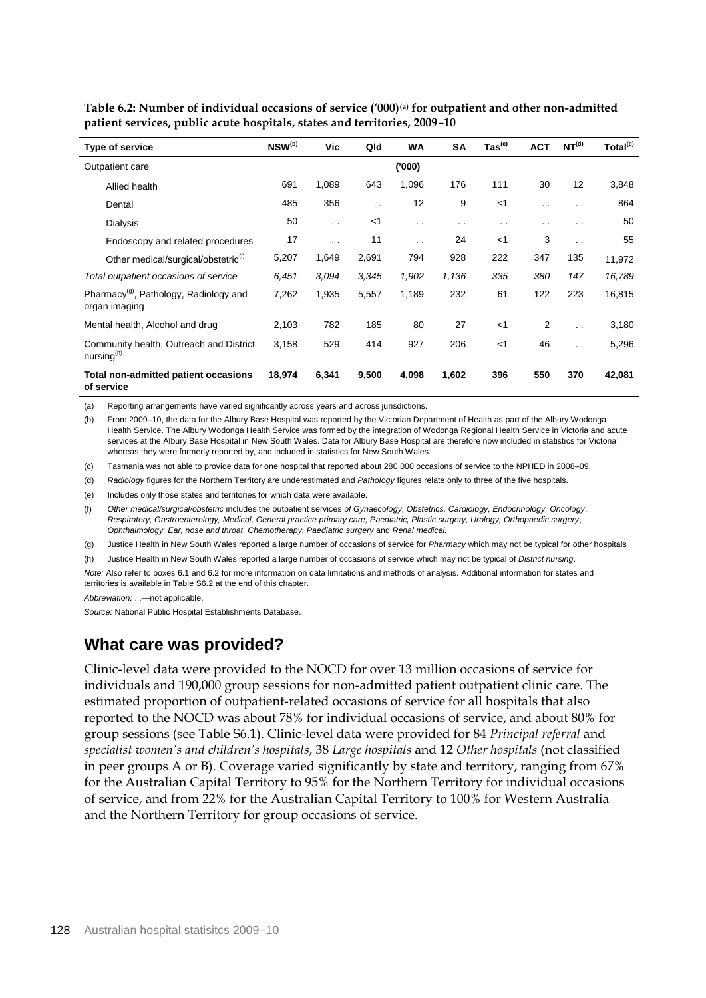| Type of service                                                     | NSW <sup>(b)</sup> | Vic                  | Qld       | <b>WA</b>     | <b>SA</b>            | $\text{ Tas}^{\text{(c)}}$ | <b>ACT</b>     | NT <sup>(d)</sup>    | Total <sup>(e)</sup> |
|---------------------------------------------------------------------|--------------------|----------------------|-----------|---------------|----------------------|----------------------------|----------------|----------------------|----------------------|
| Outpatient care                                                     |                    |                      |           | ('000)        |                      |                            |                |                      |                      |
| Allied health                                                       | 691                | 1,089                | 643       | 1,096         | 176                  | 111                        | 30             | 12                   | 3,848                |
| Dental                                                              | 485                | 356                  | $\cdot$ . | 12            | 9                    | $<$ 1                      | $\cdot$ .      | $\cdot$ .            | 864                  |
| <b>Dialysis</b>                                                     | 50                 | $\ddot{\phantom{a}}$ | $<$ 1     | $\sim$ $\sim$ | $\ddot{\phantom{a}}$ | . .                        | . .            | $\sim$ $\sim$        | 50                   |
| Endoscopy and related procedures                                    | 17                 | $\ddot{\phantom{a}}$ | 11        | $\ddotsc$     | 24                   | $<$ 1                      | 3              | $\ddot{\phantom{a}}$ | 55                   |
| Other medical/surgical/obstetric <sup>(f)</sup>                     | 5,207              | 1,649                | 2,691     | 794           | 928                  | 222                        | 347            | 135                  | 11,972               |
| Total outpatient occasions of service                               | 6,451              | 3.094                | 3.345     | 1,902         | 1,136                | 335                        | 380            | 147                  | 16,789               |
| Pharmacy <sup>(g)</sup> , Pathology, Radiology and<br>organ imaging | 7,262              | 1,935                | 5,557     | 1,189         | 232                  | 61                         | 122            | 223                  | 16,815               |
| Mental health, Alcohol and drug                                     | 2,103              | 782                  | 185       | 80            | 27                   | $<$ 1                      | $\overline{2}$ | $\ddot{\phantom{0}}$ | 3,180                |
| Community health, Outreach and District<br>nursing $(h)$            | 3,158              | 529                  | 414       | 927           | 206                  | $<$ 1                      | 46             | $\ddotsc$            | 5,296                |
| Total non-admitted patient occasions<br>of service                  | 18,974             | 6,341                | 9,500     | 4,098         | 1,602                | 396                        | 550            | 370                  | 42,081               |

**Table 6.2: Number of individual occasions of service ('000)(a) for outpatient and other non-admitted patient services, public acute hospitals, states and territories, 2009–10**

(a) Reporting arrangements have varied significantly across years and across jurisdictions.

(b) From 2009–10, the data for the Albury Base Hospital was reported by the Victorian Department of Health as part of the Albury Wodonga Health Service. The Albury Wodonga Health Service was formed by the integration of Wodonga Regional Health Service in Victoria and acute services at the Albury Base Hospital in New South Wales. Data for Albury Base Hospital are therefore now included in statistics for Victoria whereas they were formerly reported by, and included in statistics for New South Wales.

(c) Tasmania was not able to provide data for one hospital that reported about 280,000 occasions of service to the NPHED in 2008–09.

(d) *Radiology* figures for the Northern Territory are underestimated and *Pathology* figures relate only to three of the five hospitals.

(e) Includes only those states and territories for which data were available.

(f) *Other medical/surgical/obstetric* includes the outpatient services *of Gynaecology, Obstetrics, Cardiology, Endocrinology, Oncology*, *Respiratory, Gastroenterology, Medical, General practice primary care, Paediatric, Plastic surgery, Urology, Orthopaedic surgery*, *Ophthalmology, Ear, nose and throat, Chemotherapy, Paediatric surgery* and *Renal medical.*

(g) Justice Health in New South Wales reported a large number of occasions of service for *Pharmacy* which may not be typical for other hospitals

(h) Justice Health in New South Wales reported a large number of occasions of service which may not be typical of *District nursing*.

*Note:* Also refer to boxes 6.1 and 6.2 for more information on data limitations and methods of analysis. Additional information for states and territories is available in Table S6.2 at the end of this chapter.

*Abbreviation:* . .—not applicable.

*Source:* National Public Hospital Establishments Database.

## **What care was provided?**

Clinic-level data were provided to the NOCD for over 13 million occasions of service for individuals and 190,000 group sessions for non-admitted patient outpatient clinic care. The estimated proportion of outpatient-related occasions of service for all hospitals that also reported to the NOCD was about 78% for individual occasions of service, and about 80% for group sessions (see Table S6.1). Clinic-level data were provided for 84 *Principal referral* and *specialist women's and children's hospitals*, 38 *Large hospitals* and 12 *Other hospitals* (not classified in peer groups A or B). Coverage varied significantly by state and territory, ranging from 67% for the Australian Capital Territory to 95% for the Northern Territory for individual occasions of service, and from 22% for the Australian Capital Territory to 100% for Western Australia and the Northern Territory for group occasions of service.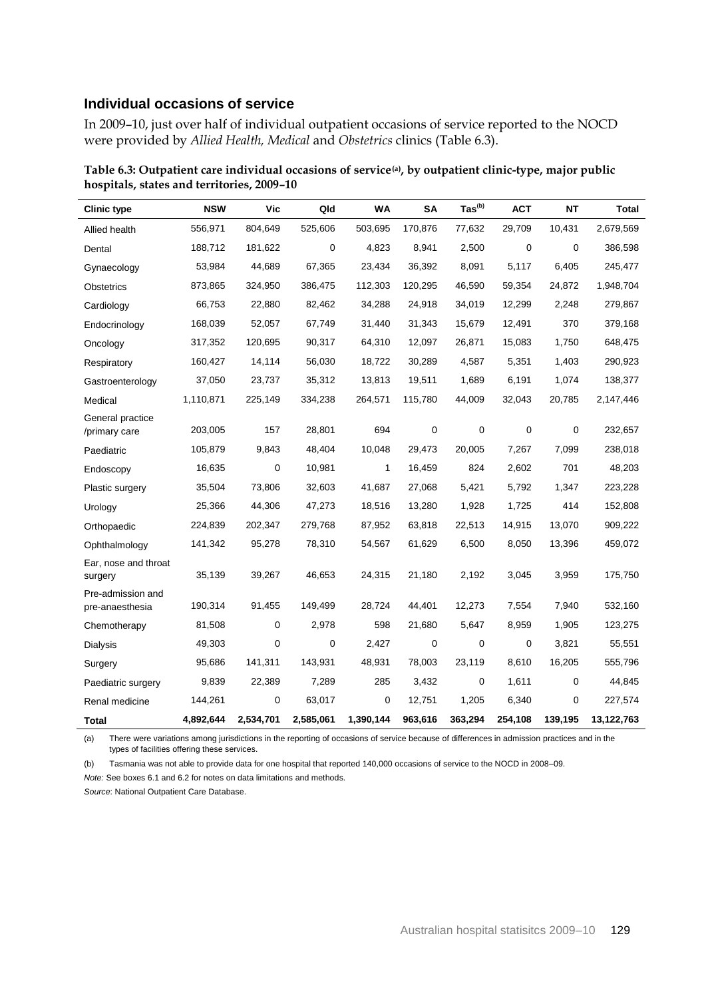### **Individual occasions of service**

In 2009–10, just over half of individual outpatient occasions of service reported to the NOCD were provided by *Allied Health, Medical* and *Obstetrics* clinics (Table 6.3).

| <b>Clinic type</b>                   | <b>NSW</b> | Vic       | Qld       | <b>WA</b> | SΑ          | $\text{Tas}^{(b)}$ | <b>ACT</b> | ΝT      | Total      |
|--------------------------------------|------------|-----------|-----------|-----------|-------------|--------------------|------------|---------|------------|
| Allied health                        | 556,971    | 804,649   | 525,606   | 503,695   | 170,876     | 77,632             | 29,709     | 10,431  | 2,679,569  |
| Dental                               | 188,712    | 181,622   | 0         | 4,823     | 8,941       | 2,500              | 0          | 0       | 386,598    |
| Gynaecology                          | 53,984     | 44,689    | 67,365    | 23,434    | 36,392      | 8,091              | 5,117      | 6,405   | 245,477    |
| <b>Obstetrics</b>                    | 873,865    | 324,950   | 386,475   | 112,303   | 120,295     | 46,590             | 59,354     | 24,872  | 1,948,704  |
| Cardiology                           | 66,753     | 22,880    | 82,462    | 34,288    | 24,918      | 34,019             | 12,299     | 2,248   | 279,867    |
| Endocrinology                        | 168,039    | 52,057    | 67,749    | 31,440    | 31,343      | 15,679             | 12,491     | 370     | 379,168    |
| Oncology                             | 317,352    | 120,695   | 90,317    | 64,310    | 12,097      | 26,871             | 15,083     | 1,750   | 648,475    |
| Respiratory                          | 160,427    | 14,114    | 56,030    | 18,722    | 30,289      | 4,587              | 5,351      | 1,403   | 290,923    |
| Gastroenterology                     | 37,050     | 23,737    | 35,312    | 13,813    | 19,511      | 1,689              | 6,191      | 1,074   | 138,377    |
| Medical                              | 1,110,871  | 225,149   | 334,238   | 264,571   | 115,780     | 44,009             | 32,043     | 20,785  | 2,147,446  |
| General practice<br>/primary care    | 203,005    | 157       | 28,801    | 694       | $\mathbf 0$ | 0                  | 0          | 0       | 232,657    |
| Paediatric                           | 105,879    | 9,843     | 48,404    | 10,048    | 29,473      | 20,005             | 7,267      | 7,099   | 238,018    |
| Endoscopy                            | 16,635     | 0         | 10,981    | 1         | 16,459      | 824                | 2,602      | 701     | 48,203     |
| Plastic surgery                      | 35,504     | 73,806    | 32,603    | 41,687    | 27,068      | 5,421              | 5,792      | 1,347   | 223,228    |
| Urology                              | 25,366     | 44,306    | 47,273    | 18,516    | 13,280      | 1,928              | 1,725      | 414     | 152,808    |
| Orthopaedic                          | 224,839    | 202,347   | 279,768   | 87,952    | 63,818      | 22,513             | 14,915     | 13,070  | 909,222    |
| Ophthalmology                        | 141,342    | 95,278    | 78,310    | 54,567    | 61,629      | 6,500              | 8,050      | 13,396  | 459,072    |
| Ear, nose and throat<br>surgery      | 35,139     | 39,267    | 46,653    | 24,315    | 21,180      | 2,192              | 3,045      | 3,959   | 175,750    |
| Pre-admission and<br>pre-anaesthesia | 190,314    | 91,455    | 149,499   | 28,724    | 44,401      | 12,273             | 7,554      | 7,940   | 532,160    |
| Chemotherapy                         | 81,508     | 0         | 2,978     | 598       | 21,680      | 5,647              | 8,959      | 1,905   | 123,275    |
| Dialysis                             | 49,303     | 0         | 0         | 2,427     | 0           | 0                  | 0          | 3,821   | 55,551     |
| Surgery                              | 95,686     | 141,311   | 143,931   | 48,931    | 78,003      | 23,119             | 8,610      | 16,205  | 555,796    |
| Paediatric surgery                   | 9,839      | 22,389    | 7,289     | 285       | 3,432       | 0                  | 1,611      | 0       | 44,845     |
| Renal medicine                       | 144,261    | 0         | 63,017    | 0         | 12,751      | 1,205              | 6,340      | 0       | 227,574    |
| Total                                | 4,892,644  | 2,534,701 | 2,585,061 | 1,390,144 | 963,616     | 363,294            | 254,108    | 139,195 | 13,122,763 |

**Table 6.3: Outpatient care individual occasions of service(a), by outpatient clinic-type, major public hospitals, states and territories, 2009–10**

(a) There were variations among jurisdictions in the reporting of occasions of service because of differences in admission practices and in the types of facilities offering these services.

(b) Tasmania was not able to provide data for one hospital that reported 140,000 occasions of service to the NOCD in 2008–09. *Note:* See boxes 6.1 and 6.2 for notes on data limitations and methods.

*Source*: National Outpatient Care Database.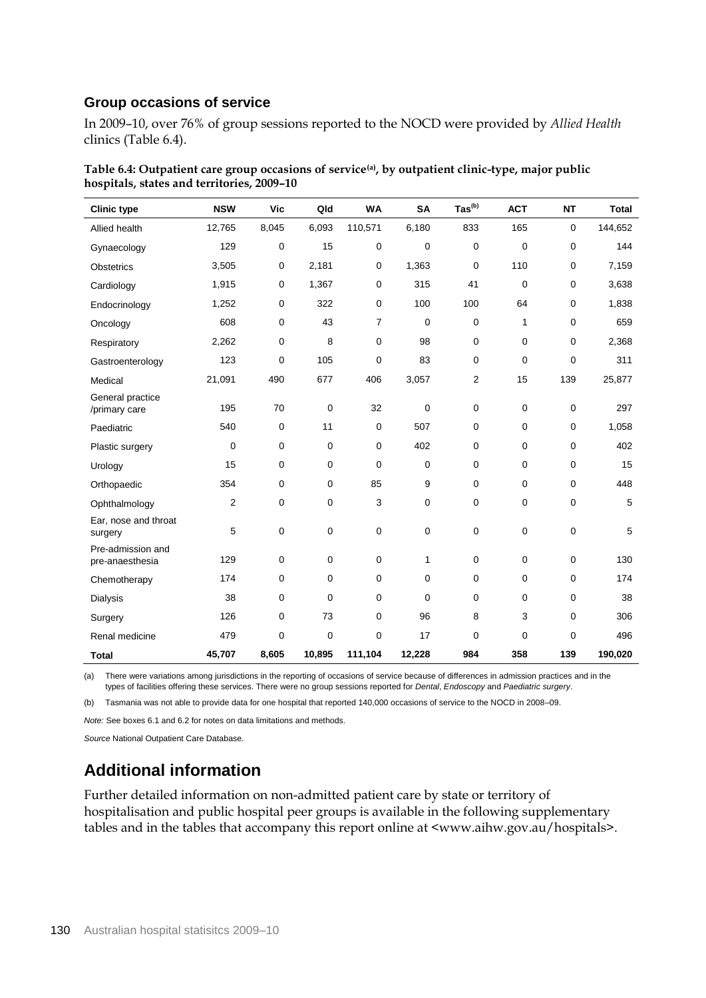## **Group occasions of service**

In 2009–10, over 76% of group sessions reported to the NOCD were provided by *Allied Health*  clinics (Table 6.4).

| <b>Clinic type</b>                   | <b>NSW</b>     | <b>Vic</b>  | Qld         | <b>WA</b>      | <b>SA</b>   | $\text{ Tas}^{(b)}$ | <b>ACT</b>  | <b>NT</b> | <b>Total</b> |
|--------------------------------------|----------------|-------------|-------------|----------------|-------------|---------------------|-------------|-----------|--------------|
| Allied health                        | 12,765         | 8,045       | 6,093       | 110,571        | 6,180       | 833                 | 165         | 0         | 144,652      |
| Gynaecology                          | 129            | 0           | 15          | $\mathbf 0$    | $\mathbf 0$ | 0                   | $\mathbf 0$ | 0         | 144          |
| Obstetrics                           | 3,505          | 0           | 2,181       | 0              | 1,363       | $\mathbf 0$         | 110         | 0         | 7,159        |
| Cardiology                           | 1,915          | $\pmb{0}$   | 1,367       | $\mathbf 0$    | 315         | 41                  | $\mathbf 0$ | 0         | 3,638        |
| Endocrinology                        | 1,252          | 0           | 322         | $\mathbf 0$    | 100         | 100                 | 64          | 0         | 1,838        |
| Oncology                             | 608            | 0           | 43          | $\overline{7}$ | $\mathbf 0$ | $\mathbf 0$         | 1           | 0         | 659          |
| Respiratory                          | 2,262          | $\mathbf 0$ | 8           | $\mathbf 0$    | 98          | 0                   | $\mathbf 0$ | 0         | 2,368        |
| Gastroenterology                     | 123            | $\mathbf 0$ | 105         | $\mathbf 0$    | 83          | 0                   | $\mathbf 0$ | 0         | 311          |
| Medical                              | 21,091         | 490         | 677         | 406            | 3,057       | $\mathbf{2}$        | 15          | 139       | 25,877       |
| General practice<br>/primary care    | 195            | 70          | 0           | 32             | $\mathbf 0$ | $\mathbf 0$         | $\mathbf 0$ | 0         | 297          |
| Paediatric                           | 540            | $\mathbf 0$ | 11          | $\mathbf 0$    | 507         | 0                   | $\mathbf 0$ | 0         | 1,058        |
| Plastic surgery                      | 0              | $\mathbf 0$ | 0           | $\mathbf 0$    | 402         | 0                   | $\mathbf 0$ | 0         | 402          |
| Urology                              | 15             | 0           | 0           | $\mathbf 0$    | $\mathbf 0$ | 0                   | $\mathbf 0$ | 0         | 15           |
| Orthopaedic                          | 354            | 0           | $\mathbf 0$ | 85             | 9           | 0                   | $\mathbf 0$ | 0         | 448          |
| Ophthalmology                        | $\overline{2}$ | $\mathbf 0$ | 0           | $\sqrt{3}$     | $\mathbf 0$ | 0                   | $\mathbf 0$ | 0         | 5            |
| Ear, nose and throat<br>surgery      | 5              | $\mathbf 0$ | 0           | $\mathbf 0$    | $\mathbf 0$ | 0                   | $\pmb{0}$   | 0         | 5            |
| Pre-admission and<br>pre-anaesthesia | 129            | $\mathbf 0$ | $\mathbf 0$ | $\mathbf 0$    | 1           | $\mathbf 0$         | $\mathbf 0$ | 0         | 130          |
| Chemotherapy                         | 174            | 0           | $\mathbf 0$ | 0              | $\mathbf 0$ | 0                   | 0           | 0         | 174          |
| <b>Dialysis</b>                      | 38             | 0           | 0           | $\mathbf 0$    | $\mathbf 0$ | 0                   | $\mathbf 0$ | 0         | 38           |
| Surgery                              | 126            | 0           | 73          | $\mathbf 0$    | 96          | 8                   | 3           | 0         | 306          |
| Renal medicine                       | 479            | 0           | 0           | $\mathbf 0$    | 17          | 0                   | $\mathbf 0$ | 0         | 496          |
| <b>Total</b>                         | 45,707         | 8,605       | 10,895      | 111,104        | 12,228      | 984                 | 358         | 139       | 190,020      |

| Table 6.4: Outpatient care group occasions of service <sup>(a)</sup> , by outpatient clinic-type, major public |  |  |  |
|----------------------------------------------------------------------------------------------------------------|--|--|--|
| hospitals, states and territories, 2009–10                                                                     |  |  |  |

(a) There were variations among jurisdictions in the reporting of occasions of service because of differences in admission practices and in the types of facilities offering these services. There were no group sessions reported for *Dental*, *Endoscopy* and *Paediatric surgery*.

(b) Tasmania was not able to provide data for one hospital that reported 140,000 occasions of service to the NOCD in 2008–09.

*Note:* See boxes 6.1 and 6.2 for notes on data limitations and methods.

*Source* National Outpatient Care Database.

## **Additional information**

Further detailed information on non-admitted patient care by state or territory of hospitalisation and public hospital peer groups is available in the following supplementary tables and in the tables that accompany this report online at <www.aihw.gov.au/hospitals>.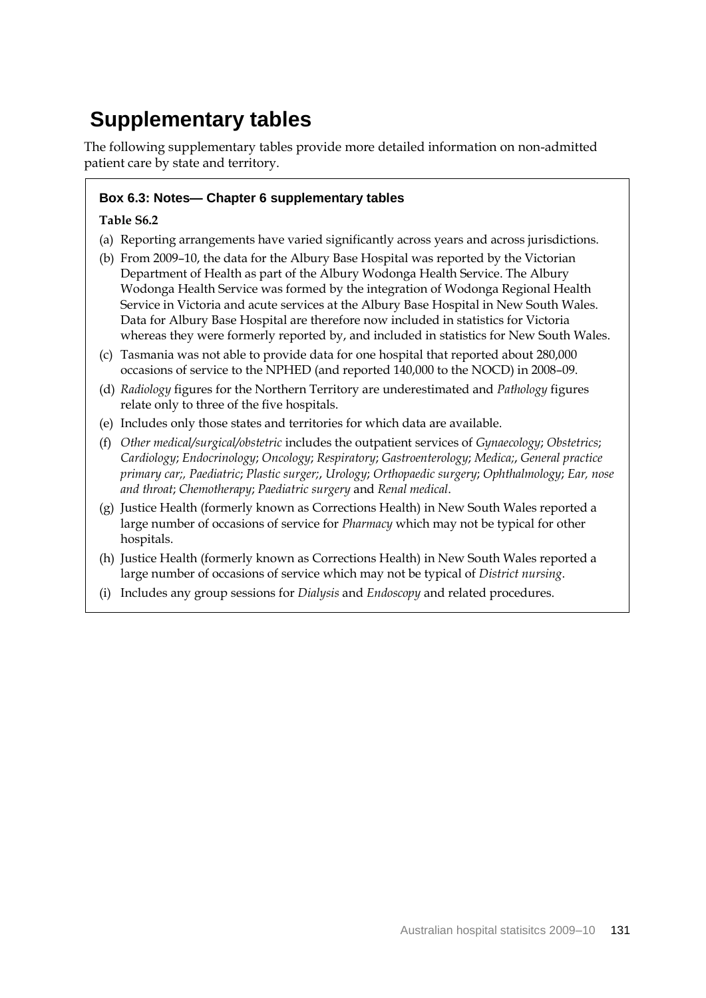# **Supplementary tables**

The following supplementary tables provide more detailed information on non-admitted patient care by state and territory.

## **Box 6.3: Notes— Chapter 6 supplementary tables**

### **Table S6.2**

- (a) Reporting arrangements have varied significantly across years and across jurisdictions.
- (b) From 2009–10, the data for the Albury Base Hospital was reported by the Victorian Department of Health as part of the Albury Wodonga Health Service. The Albury Wodonga Health Service was formed by the integration of Wodonga Regional Health Service in Victoria and acute services at the Albury Base Hospital in New South Wales. Data for Albury Base Hospital are therefore now included in statistics for Victoria whereas they were formerly reported by, and included in statistics for New South Wales.
- (c) Tasmania was not able to provide data for one hospital that reported about 280,000 occasions of service to the NPHED (and reported 140,000 to the NOCD) in 2008–09.
- (d) *Radiology* figures for the Northern Territory are underestimated and *Pathology* figures relate only to three of the five hospitals.
- (e) Includes only those states and territories for which data are available.
- (f) *Other medical/surgical/obstetric* includes the outpatient services of *Gynaecology*; *Obstetrics*; *Cardiology*; *Endocrinology*; *Oncology*; *Respiratory*; *Gastroenterology*; *Medica;*, *General practice primary car;, Paediatric*; *Plastic surger;*, *Urology*; *Orthopaedic surgery*; *Ophthalmology*; *Ear, nose and throat*; *Chemotherapy*; *Paediatric surgery* and *Renal medical*.
- (g) Justice Health (formerly known as Corrections Health) in New South Wales reported a large number of occasions of service for *Pharmacy* which may not be typical for other hospitals.
- (h) Justice Health (formerly known as Corrections Health) in New South Wales reported a large number of occasions of service which may not be typical of *District nursing*.
- (i) Includes any group sessions for *Dialysis* and *Endoscopy* and related procedures.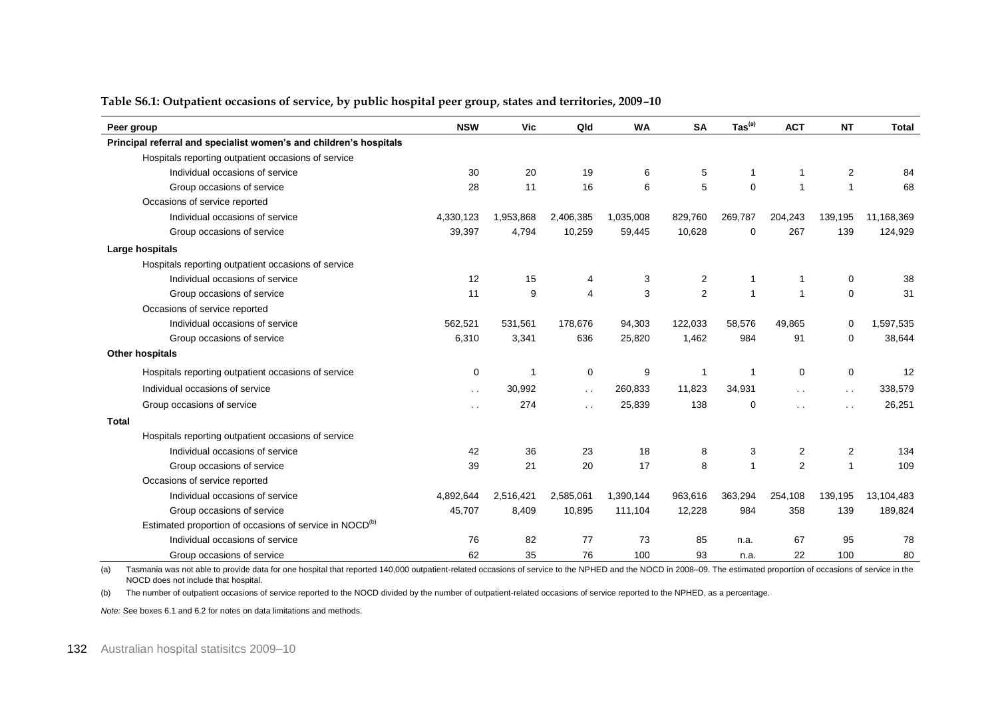| Peer group                                                          | <b>NSW</b>           | <b>Vic</b>  | Qld                  | <b>WA</b> | <b>SA</b>      | $\text{Tas}^{(a)}$ | <b>ACT</b>              | <b>NT</b>            | <b>Total</b> |
|---------------------------------------------------------------------|----------------------|-------------|----------------------|-----------|----------------|--------------------|-------------------------|----------------------|--------------|
| Principal referral and specialist women's and children's hospitals  |                      |             |                      |           |                |                    |                         |                      |              |
| Hospitals reporting outpatient occasions of service                 |                      |             |                      |           |                |                    |                         |                      |              |
| Individual occasions of service                                     | 30                   | 20          | 19                   | 6         | 5              | $\mathbf{1}$       | $\mathbf{1}$            | 2                    | 84           |
| Group occasions of service                                          | 28                   | 11          | 16                   | 6         | 5              | $\mathbf 0$        | $\overline{1}$          | 1                    | 68           |
| Occasions of service reported                                       |                      |             |                      |           |                |                    |                         |                      |              |
| Individual occasions of service                                     | 4,330,123            | 1,953,868   | 2,406,385            | 1,035,008 | 829,760        | 269,787            | 204,243                 | 139,195              | 11,168,369   |
| Group occasions of service                                          | 39,397               | 4,794       | 10,259               | 59,445    | 10,628         | $\mathbf 0$        | 267                     | 139                  | 124,929      |
| Large hospitals                                                     |                      |             |                      |           |                |                    |                         |                      |              |
| Hospitals reporting outpatient occasions of service                 |                      |             |                      |           |                |                    |                         |                      |              |
| Individual occasions of service                                     | 12                   | 15          | 4                    | 3         | $\overline{c}$ | $\mathbf{1}$       | $\mathbf{1}$            | 0                    | 38           |
| Group occasions of service                                          | 11                   | 9           | 4                    | 3         | $\overline{2}$ | $\overline{1}$     | $\mathbf{1}$            | $\mathbf 0$          | 31           |
| Occasions of service reported                                       |                      |             |                      |           |                |                    |                         |                      |              |
| Individual occasions of service                                     | 562,521              | 531,561     | 178,676              | 94,303    | 122,033        | 58,576             | 49,865                  | $\mathbf 0$          | 1,597,535    |
| Group occasions of service                                          | 6,310                | 3,341       | 636                  | 25,820    | 1,462          | 984                | 91                      | $\mathbf 0$          | 38,644       |
| Other hospitals                                                     |                      |             |                      |           |                |                    |                         |                      |              |
| Hospitals reporting outpatient occasions of service                 | 0                    | $\mathbf 1$ | $\mathbf 0$          | 9         | $\overline{1}$ | -1                 | 0                       | $\mathbf 0$          | 12           |
| Individual occasions of service                                     | $\sim$               | 30,992      | $\ddot{\phantom{0}}$ | 260,833   | 11,823         | 34,931             | $\sim$                  | $\ddot{\phantom{a}}$ | 338,579      |
| Group occasions of service                                          | $\ddot{\phantom{a}}$ | 274         | $\ddot{\phantom{0}}$ | 25,839    | 138            | $\Omega$           | $\ddot{\phantom{0}}$    | $\ddot{\phantom{0}}$ | 26,251       |
| Total                                                               |                      |             |                      |           |                |                    |                         |                      |              |
| Hospitals reporting outpatient occasions of service                 |                      |             |                      |           |                |                    |                         |                      |              |
| Individual occasions of service                                     | 42                   | 36          | 23                   | 18        | 8              | 3                  | $\overline{\mathbf{c}}$ | $\overline{c}$       | 134          |
| Group occasions of service                                          | 39                   | 21          | 20                   | 17        | 8              | $\overline{1}$     | 2                       | $\mathbf{1}$         | 109          |
| Occasions of service reported                                       |                      |             |                      |           |                |                    |                         |                      |              |
| Individual occasions of service                                     | 4,892,644            | 2,516,421   | 2,585,061            | 1,390,144 | 963,616        | 363,294            | 254,108                 | 139,195              | 13,104,483   |
| Group occasions of service                                          | 45,707               | 8,409       | 10,895               | 111,104   | 12,228         | 984                | 358                     | 139                  | 189,824      |
| Estimated proportion of occasions of service in NOCD <sup>(b)</sup> |                      |             |                      |           |                |                    |                         |                      |              |
| Individual occasions of service                                     | 76                   | 82          | 77                   | 73        | 85             | n.a.               | 67                      | 95                   | 78           |
| Group occasions of service                                          | 62                   | 35          | 76                   | 100       | 93             | n.a.               | 22                      | 100                  | 80           |

#### **Table S6.1: Outpatient occasions of service, by public hospital peer group, states and territories, 2009–10**

(a) Tasmania was not able to provide data for one hospital that reported 140,000 outpatient-related occasions of service to the NPHED and the NOCD in 2008–09. The estimated proportion of occasions of service in the NOCD does not include that hospital.

(b) The number of outpatient occasions of service reported to the NOCD divided by the number of outpatient-related occasions of service reported to the NPHED, as a percentage.

*Note:* See boxes 6.1 and 6.2 for notes on data limitations and methods.